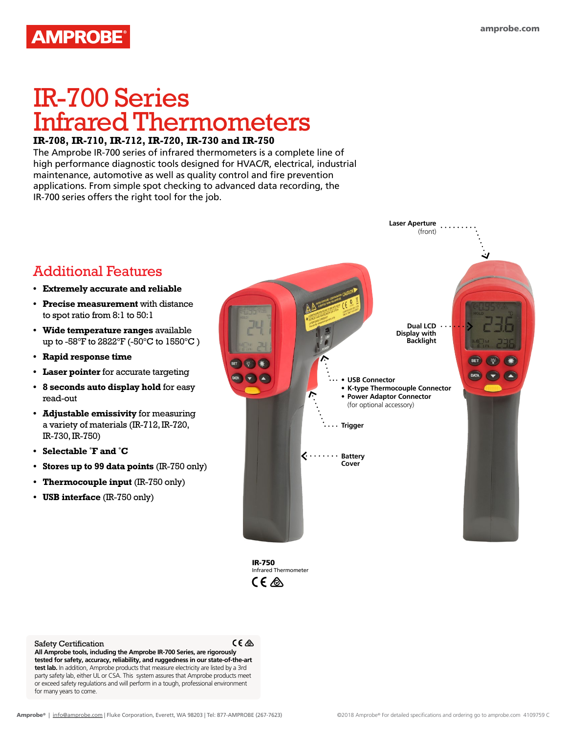### **AMPROBE®**

# IR-700 Series Infrared Thermometers

#### **IR-708, IR-710, IR-712, IR-720, IR-730 and IR-750**

The Amprobe IR-700 series of infrared thermometers is a complete line of high performance diagnostic tools designed for HVAC/R, electrical, industrial maintenance, automotive as well as quality control and fire prevention applications. From simple spot checking to advanced data recording, the IR-700 series offers the right tool for the job.



IR-750 Infrared Thermometer CE A

Safety Certification

read-out

 $C \in \mathcal{L}$ 

**All Amprobe tools, including the Amprobe IR-700 Series, are rigorously tested for safety, accuracy, reliability, and ruggedness in our state-of-the-art test lab.** In addition, Amprobe products that measure electricity are listed by a 3rd party safety lab, either UL or CSA. This system assures that Amprobe products meet or exceed safety regulations and will perform in a tough, professional environment for many years to come.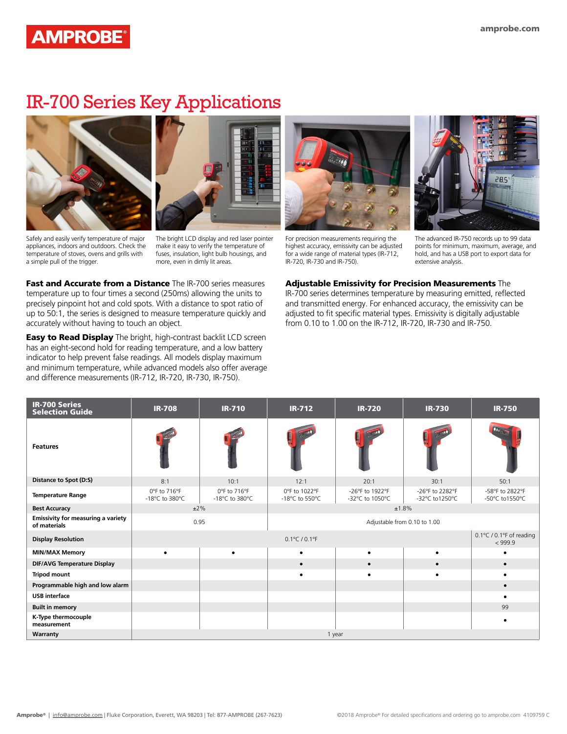#### **AMPROBE®**

#### IR-700 Series Key Applications





Safely and easily verify temperature of major appliances, indoors and outdoors. Check the temperature of stoves, ovens and grills with a simple pull of the trigger.

The bright LCD display and red laser pointer make it easy to verify the temperature of fuses, insulation, light bulb housings, and more, even in dimly lit areas.

Fast and Accurate from a Distance The IR-700 series measures temperature up to four times a second (250ms) allowing the units to precisely pinpoint hot and cold spots. With a distance to spot ratio of up to 50:1, the series is designed to measure temperature quickly and accurately without having to touch an object.

**Easy to Read Display** The bright, high-contrast backlit LCD screen has an eight-second hold for reading temperature, and a low battery indicator to help prevent false readings. All models display maximum and minimum temperature, while advanced models also offer average and difference measurements (IR-712, IR-720, IR-730, IR-750).



For precision measurements requiring the highest accuracy, emissivity can be adjusted for a wide range of material types (IR-712, IR-720, IR-730 and IR-750).



The advanced IR-750 records up to 99 data points for minimum, maximum, average, and hold, and has a USB port to export data for extensive analysis.

Adjustable Emissivity for Precision Measurements The IR-700 series determines temperature by measuring emitted, reflected and transmitted energy. For enhanced accuracy, the emissivity can be adjusted to fit specific material types. Emissivity is digitally adjustable from 0.10 to 1.00 on the IR-712, IR-720, IR-730 and IR-750.

| <b>IR-700 Series</b><br><b>Selection Guide</b>            | <b>IR-708</b>                  | <b>IR-710</b>                  | <b>IR-712</b>                     | <b>IR-720</b>                       | <b>IR-730</b>                     | <b>IR-750</b>                     |  |
|-----------------------------------------------------------|--------------------------------|--------------------------------|-----------------------------------|-------------------------------------|-----------------------------------|-----------------------------------|--|
| <b>Features</b>                                           |                                |                                |                                   |                                     |                                   |                                   |  |
| Distance to Spot (D:S)                                    | 8:1                            | 10:1                           | 12:1                              | 20:1                                | 30:1                              | 50:1                              |  |
| <b>Temperature Range</b>                                  | 0°F to 716°F<br>-18°C to 380°C | 0°F to 716°F<br>-18°C to 380°C | 0°F to 1022°F<br>-18°C to 550°C   | -26°F to 1922°F<br>-32°C to 1050°C  | -26°F to 2282°F<br>-32°C to1250°C | -58°F to 2822°F<br>-50°C to1550°C |  |
| <b>Best Accuracy</b>                                      |                                | $±2\%$                         | ±1.8%                             |                                     |                                   |                                   |  |
| <b>Emissivity for measuring a variety</b><br>of materials | 0.95                           |                                |                                   |                                     |                                   |                                   |  |
| <b>Display Resolution</b>                                 |                                |                                | $0.1^{\circ}$ C / $0.1^{\circ}$ F | 0.1°C / 0.1°F of reading<br>< 999.9 |                                   |                                   |  |
| <b>MIN/MAX Memory</b>                                     |                                |                                | $\bullet$                         |                                     |                                   |                                   |  |
| <b>DIF/AVG Temperature Display</b>                        |                                |                                | $\bullet$                         |                                     | $\bullet$                         |                                   |  |
| <b>Tripod mount</b>                                       |                                |                                | $\bullet$                         |                                     |                                   |                                   |  |
| Programmable high and low alarm                           |                                |                                |                                   |                                     |                                   |                                   |  |
| <b>USB</b> interface                                      |                                |                                |                                   |                                     |                                   |                                   |  |
| <b>Built in memory</b>                                    |                                |                                |                                   |                                     |                                   | 99                                |  |
| K-Type thermocouple<br>measurement                        |                                |                                |                                   |                                     |                                   |                                   |  |
| Warranty                                                  |                                |                                |                                   | 1 year                              |                                   |                                   |  |